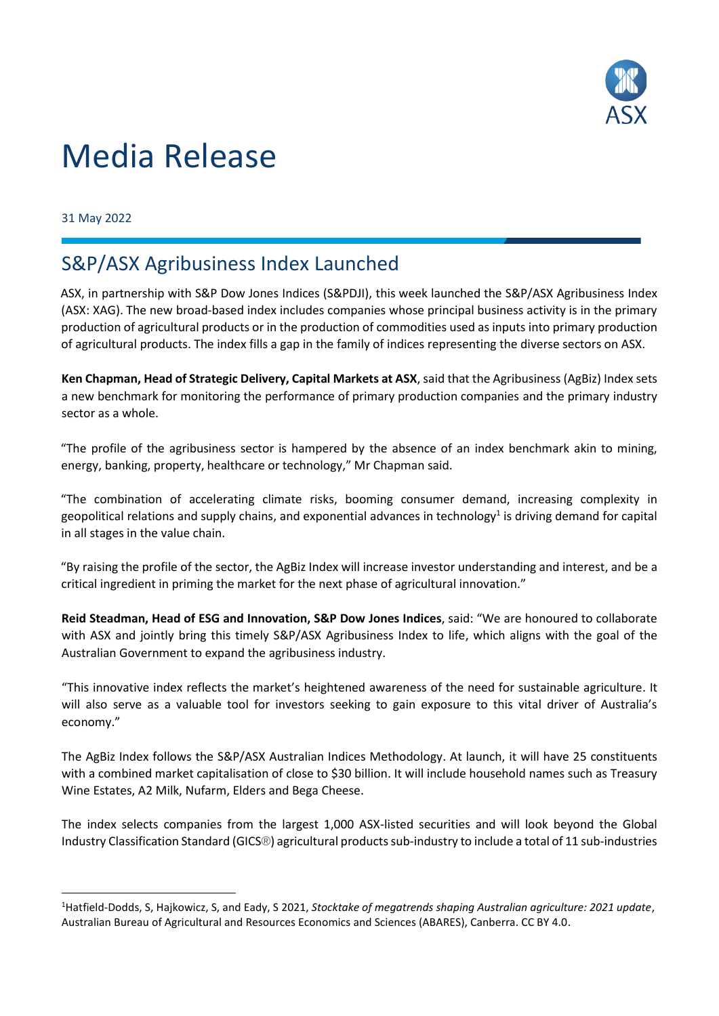

## Media Release

31 May 2022

## S&P/ASX Agribusiness Index Launched

ASX, in partnership with S&P Dow Jones Indices (S&PDJI), this week launched the S&P/ASX Agribusiness Index (ASX: XAG). The new broad-based index includes companies whose principal business activity is in the primary production of agricultural products or in the production of commodities used as inputs into primary production of agricultural products. The index fills a gap in the family of indices representing the diverse sectors on ASX.

**Ken Chapman, Head of Strategic Delivery, Capital Markets at ASX**, said that the Agribusiness (AgBiz) Index sets a new benchmark for monitoring the performance of primary production companies and the primary industry sector as a whole.

"The profile of the agribusiness sector is hampered by the absence of an index benchmark akin to mining, energy, banking, property, healthcare or technology," Mr Chapman said.

"The combination of accelerating climate risks, booming consumer demand, increasing complexity in geopolitical relations and supply chains, and exponential advances in technology<sup>1</sup> is driving demand for capital in all stages in the value chain.

"By raising the profile of the sector, the AgBiz Index will increase investor understanding and interest, and be a critical ingredient in priming the market for the next phase of agricultural innovation."

**Reid Steadman, Head of ESG and Innovation, S&P Dow Jones Indices**, said: "We are honoured to collaborate with ASX and jointly bring this timely S&P/ASX Agribusiness Index to life, which aligns with the goal of the Australian Government to expand the agribusiness industry.

"This innovative index reflects the market's heightened awareness of the need for sustainable agriculture. It will also serve as a valuable tool for investors seeking to gain exposure to this vital driver of Australia's economy."

The AgBiz Index follows the S&P/ASX Australian Indices Methodology. At launch, it will have 25 constituents with a combined market capitalisation of close to \$30 billion. It will include household names such as Treasury Wine Estates, A2 Milk, Nufarm, Elders and Bega Cheese.

The index selects companies from the largest 1,000 ASX-listed securities and will look beyond the Global Industry Classification Standard (GICS®) agricultural products sub-industry to include a total of 11 sub-industries

<sup>1</sup>Hatfield-Dodds, S, Hajkowicz, S, and Eady, S 2021, *Stocktake of megatrends shaping Australian agriculture: 2021 update*, Australian Bureau of Agricultural and Resources Economics and Sciences (ABARES), Canberra. CC BY 4.0.